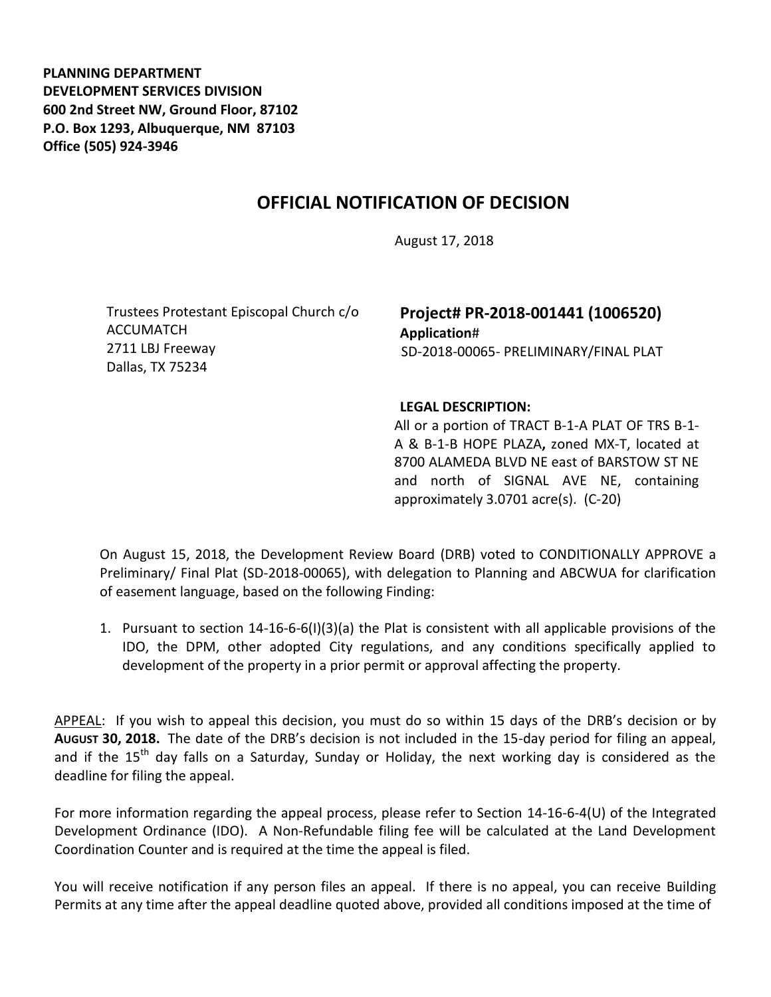**PLANNING DEPARTMENT DEVELOPMENT SERVICES DIVISION 600 2nd Street NW, Ground Floor, 87102 P.O. Box 1293, Albuquerque, NM 87103 Office (505) 924-3946** 

## **OFFICIAL NOTIFICATION OF DECISION**

August 17, 2018

Trustees Protestant Episcopal Church c/o ACCUMATCH 2711 LBJ Freeway Dallas, TX 75234

**Project# PR-2018-001441 (1006520) Application**# SD-2018-00065- PRELIMINARY/FINAL PLAT

## **LEGAL DESCRIPTION:**

All or a portion of TRACT B-1-A PLAT OF TRS B-1- A & B-1-B HOPE PLAZA**,** zoned MX-T, located at 8700 ALAMEDA BLVD NE east of BARSTOW ST NE and north of SIGNAL AVE NE, containing approximately 3.0701 acre(s). (C-20)

On August 15, 2018, the Development Review Board (DRB) voted to CONDITIONALLY APPROVE a Preliminary/ Final Plat (SD-2018-00065), with delegation to Planning and ABCWUA for clarification of easement language, based on the following Finding:

1. Pursuant to section 14-16-6-6(I)(3)(a) the Plat is consistent with all applicable provisions of the IDO, the DPM, other adopted City regulations, and any conditions specifically applied to development of the property in a prior permit or approval affecting the property.

APPEAL: If you wish to appeal this decision, you must do so within 15 days of the DRB's decision or by **AUGUST 30, 2018.** The date of the DRB's decision is not included in the 15-day period for filing an appeal, and if the  $15<sup>th</sup>$  day falls on a Saturday, Sunday or Holiday, the next working day is considered as the deadline for filing the appeal.

For more information regarding the appeal process, please refer to Section 14-16-6-4(U) of the Integrated Development Ordinance (IDO). A Non-Refundable filing fee will be calculated at the Land Development Coordination Counter and is required at the time the appeal is filed.

You will receive notification if any person files an appeal. If there is no appeal, you can receive Building Permits at any time after the appeal deadline quoted above, provided all conditions imposed at the time of